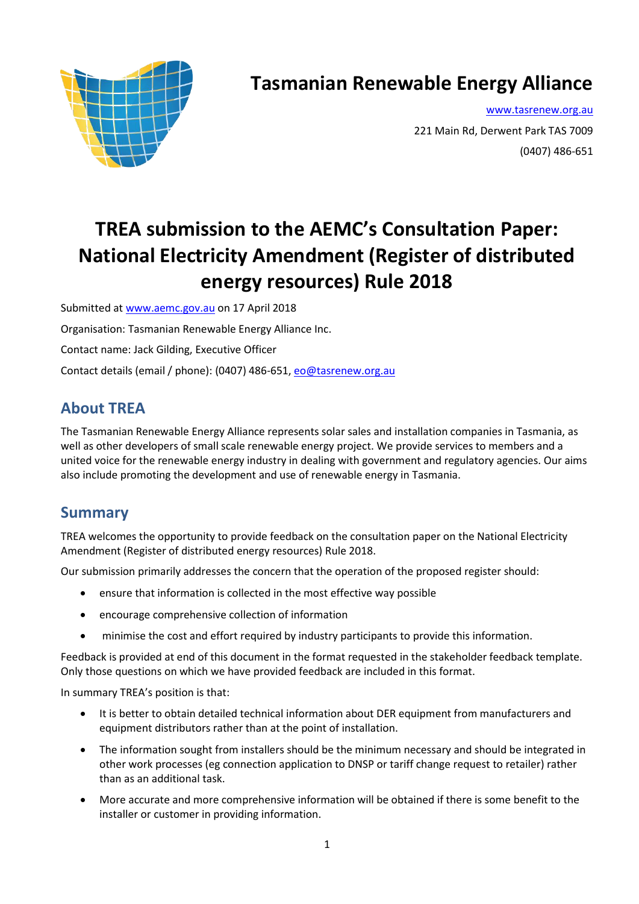

## **Tasmanian Renewable Energy Alliance**

[www.tasrenew.org.au](http://www.tasrenew.org.au/) 221 Main Rd, Derwent Park TAS 7009 (0407) 486-651

# **TREA submission to the AEMC's Consultation Paper: National Electricity Amendment (Register of distributed energy resources) Rule 2018**

Submitted at [www.aemc.gov.au](http://www.aemc.gov.au/) on 17 April 2018

Organisation: Tasmanian Renewable Energy Alliance Inc.

Contact name: Jack Gilding, Executive Officer

Contact details (email / phone): (0407) 486-651, [eo@tasrenew.org.au](mailto:eo@tasrenew.org.au)

## **About TREA**

The Tasmanian Renewable Energy Alliance represents solar sales and installation companies in Tasmania, as well as other developers of small scale renewable energy project. We provide services to members and a united voice for the renewable energy industry in dealing with government and regulatory agencies. Our aims also include promoting the development and use of renewable energy in Tasmania.

## **Summary**

TREA welcomes the opportunity to provide feedback on the consultation paper on the National Electricity Amendment (Register of distributed energy resources) Rule 2018.

Our submission primarily addresses the concern that the operation of the proposed register should:

- ensure that information is collected in the most effective way possible
- encourage comprehensive collection of information
- minimise the cost and effort required by industry participants to provide this information.

Feedback is provided at end of this document in the format requested in the stakeholder feedback template. Only those questions on which we have provided feedback are included in this format.

In summary TREA's position is that:

- It is better to obtain detailed technical information about DER equipment from manufacturers and equipment distributors rather than at the point of installation.
- The information sought from installers should be the minimum necessary and should be integrated in other work processes (eg connection application to DNSP or tariff change request to retailer) rather than as an additional task.
- More accurate and more comprehensive information will be obtained if there is some benefit to the installer or customer in providing information.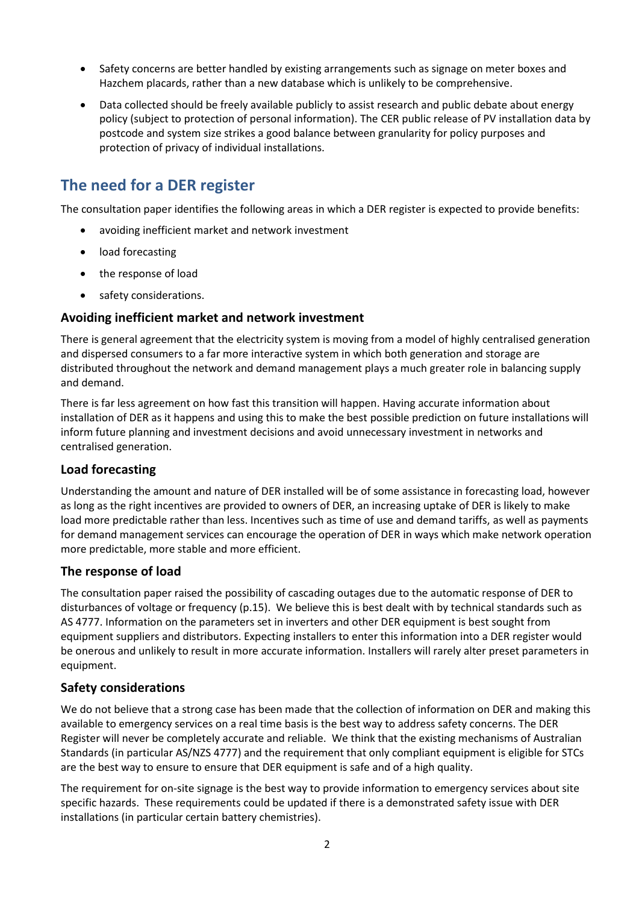- Safety concerns are better handled by existing arrangements such as signage on meter boxes and Hazchem placards, rather than a new database which is unlikely to be comprehensive.
- Data collected should be freely available publicly to assist research and public debate about energy policy (subject to protection of personal information). The CER public release of PV installation data by postcode and system size strikes a good balance between granularity for policy purposes and protection of privacy of individual installations.

### **The need for a DER register**

The consultation paper identifies the following areas in which a DER register is expected to provide benefits:

- avoiding inefficient market and network investment
- load forecasting
- the response of load
- safety considerations.

#### **Avoiding inefficient market and network investment**

There is general agreement that the electricity system is moving from a model of highly centralised generation and dispersed consumers to a far more interactive system in which both generation and storage are distributed throughout the network and demand management plays a much greater role in balancing supply and demand.

There is far less agreement on how fast this transition will happen. Having accurate information about installation of DER as it happens and using this to make the best possible prediction on future installations will inform future planning and investment decisions and avoid unnecessary investment in networks and centralised generation.

#### **Load forecasting**

Understanding the amount and nature of DER installed will be of some assistance in forecasting load, however as long as the right incentives are provided to owners of DER, an increasing uptake of DER is likely to make load more predictable rather than less. Incentives such as time of use and demand tariffs, as well as payments for demand management services can encourage the operation of DER in ways which make network operation more predictable, more stable and more efficient.

#### **The response of load**

The consultation paper raised the possibility of cascading outages due to the automatic response of DER to disturbances of voltage or frequency (p.15). We believe this is best dealt with by technical standards such as AS 4777. Information on the parameters set in inverters and other DER equipment is best sought from equipment suppliers and distributors. Expecting installers to enter this information into a DER register would be onerous and unlikely to result in more accurate information. Installers will rarely alter preset parameters in equipment.

#### **Safety considerations**

We do not believe that a strong case has been made that the collection of information on DER and making this available to emergency services on a real time basis is the best way to address safety concerns. The DER Register will never be completely accurate and reliable. We think that the existing mechanisms of Australian Standards (in particular AS/NZS 4777) and the requirement that only compliant equipment is eligible for STCs are the best way to ensure to ensure that DER equipment is safe and of a high quality.

The requirement for on-site signage is the best way to provide information to emergency services about site specific hazards. These requirements could be updated if there is a demonstrated safety issue with DER installations (in particular certain battery chemistries).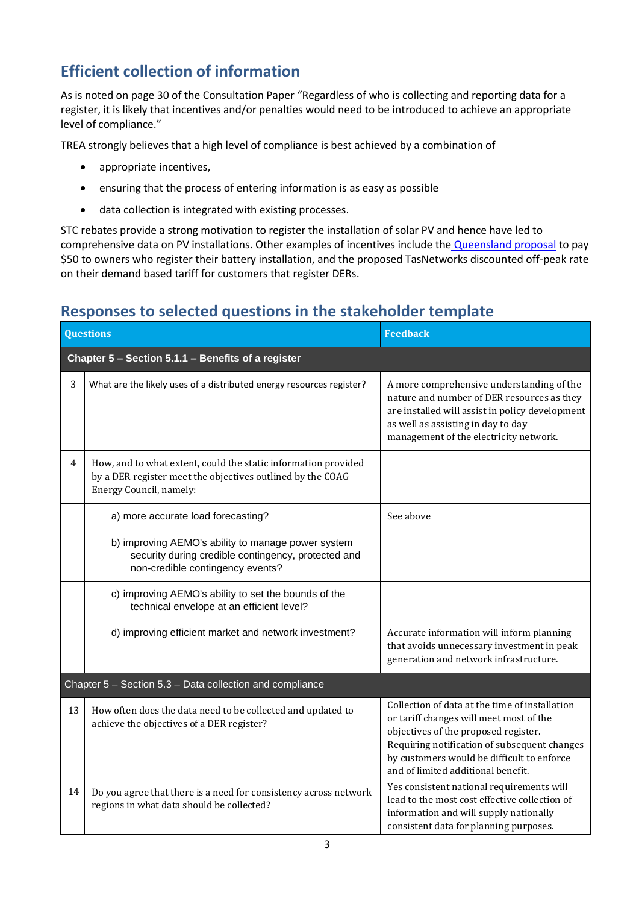## **Efficient collection of information**

As is noted on page 30 of the Consultation Paper "Regardless of who is collecting and reporting data for a register, it is likely that incentives and/or penalties would need to be introduced to achieve an appropriate level of compliance."

TREA strongly believes that a high level of compliance is best achieved by a combination of

- appropriate incentives,
- ensuring that the process of entering information is as easy as possible
- data collection is integrated with existing processes.

STC rebates provide a strong motivation to register the installation of solar PV and hence have led to comprehensive data on PV installations. Other examples of incentives include the **[Queensland proposal](https://www.energymatters.com.au/renewable-news/solar-battery-database-improve-safety/)** to pay \$50 to owners who register their battery installation, and the proposed TasNetworks discounted off-peak rate on their demand based tariff for customers that register DERs.

## **Responses to selected questions in the stakeholder template**

| <b>Questions</b>                                         |                                                                                                                                                         | <b>Feedback</b>                                                                                                                                                                                                                                                       |  |
|----------------------------------------------------------|---------------------------------------------------------------------------------------------------------------------------------------------------------|-----------------------------------------------------------------------------------------------------------------------------------------------------------------------------------------------------------------------------------------------------------------------|--|
| Chapter 5 - Section 5.1.1 - Benefits of a register       |                                                                                                                                                         |                                                                                                                                                                                                                                                                       |  |
| 3                                                        | What are the likely uses of a distributed energy resources register?                                                                                    | A more comprehensive understanding of the<br>nature and number of DER resources as they<br>are installed will assist in policy development<br>as well as assisting in day to day<br>management of the electricity network.                                            |  |
| 4                                                        | How, and to what extent, could the static information provided<br>by a DER register meet the objectives outlined by the COAG<br>Energy Council, namely: |                                                                                                                                                                                                                                                                       |  |
|                                                          | a) more accurate load forecasting?                                                                                                                      | See above                                                                                                                                                                                                                                                             |  |
|                                                          | b) improving AEMO's ability to manage power system<br>security during credible contingency, protected and<br>non-credible contingency events?           |                                                                                                                                                                                                                                                                       |  |
|                                                          | c) improving AEMO's ability to set the bounds of the<br>technical envelope at an efficient level?                                                       |                                                                                                                                                                                                                                                                       |  |
|                                                          | d) improving efficient market and network investment?                                                                                                   | Accurate information will inform planning<br>that avoids unnecessary investment in peak<br>generation and network infrastructure.                                                                                                                                     |  |
| Chapter 5 - Section 5.3 - Data collection and compliance |                                                                                                                                                         |                                                                                                                                                                                                                                                                       |  |
| 13                                                       | How often does the data need to be collected and updated to<br>achieve the objectives of a DER register?                                                | Collection of data at the time of installation<br>or tariff changes will meet most of the<br>objectives of the proposed register.<br>Requiring notification of subsequent changes<br>by customers would be difficult to enforce<br>and of limited additional benefit. |  |
| 14                                                       | Do you agree that there is a need for consistency across network<br>regions in what data should be collected?                                           | Yes consistent national requirements will<br>lead to the most cost effective collection of<br>information and will supply nationally<br>consistent data for planning purposes.                                                                                        |  |